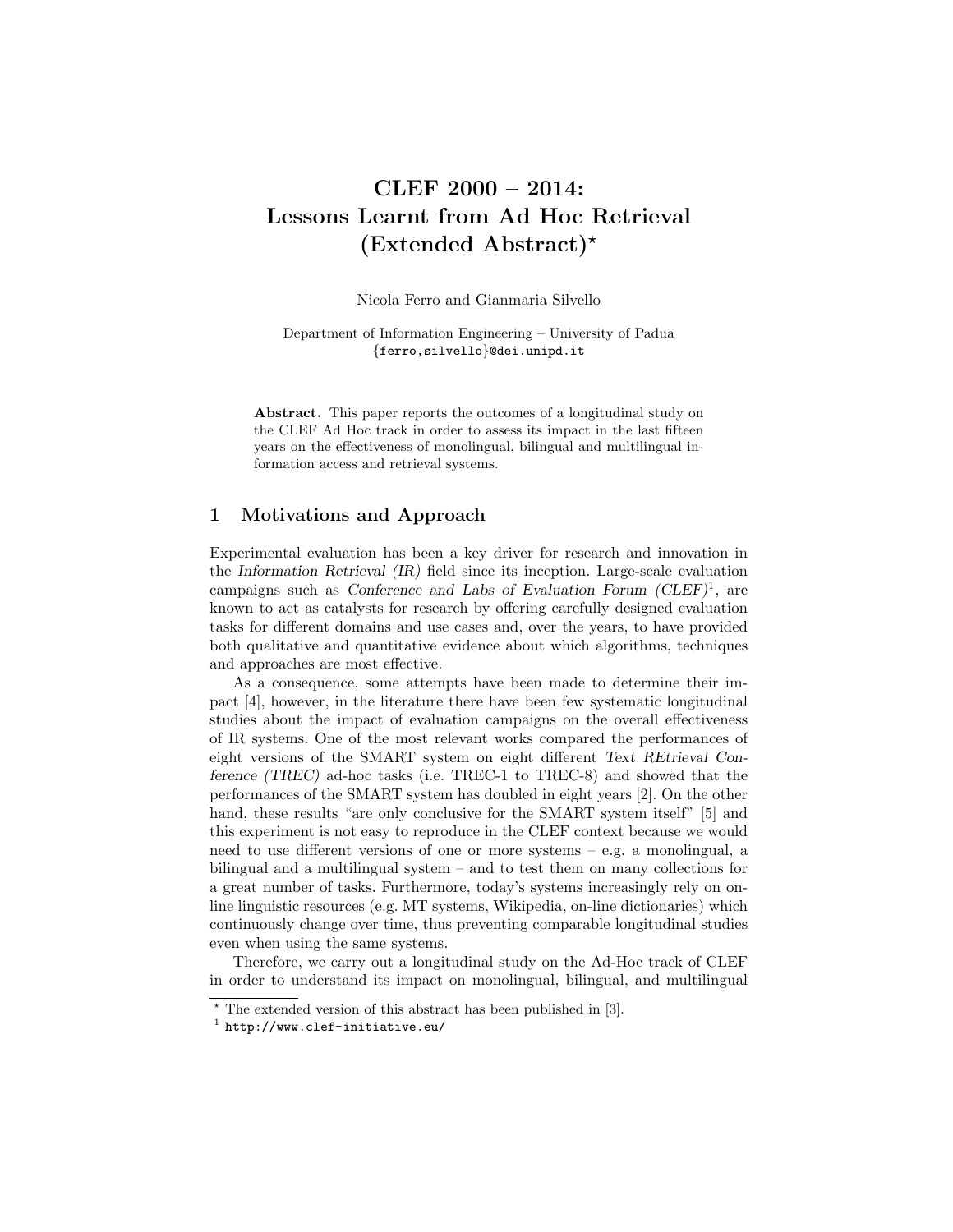# CLEF 2000 – 2014: Lessons Learnt from Ad Hoc Retrieval  $(Extended Abstract)^*$

Nicola Ferro and Gianmaria Silvello

Department of Information Engineering – University of Padua {ferro,silvello}@dei.unipd.it

Abstract. This paper reports the outcomes of a longitudinal study on the CLEF Ad Hoc track in order to assess its impact in the last fifteen years on the effectiveness of monolingual, bilingual and multilingual information access and retrieval systems.

## 1 Motivations and Approach

Experimental evaluation has been a key driver for research and innovation in the Information Retrieval (IR) field since its inception. Large-scale evaluation campaigns such as Conference and Labs of Evaluation Forum  $(CLEF)^1$ , are known to act as catalysts for research by offering carefully designed evaluation tasks for different domains and use cases and, over the years, to have provided both qualitative and quantitative evidence about which algorithms, techniques and approaches are most effective.

As a consequence, some attempts have been made to determine their impact [4], however, in the literature there have been few systematic longitudinal studies about the impact of evaluation campaigns on the overall effectiveness of IR systems. One of the most relevant works compared the performances of eight versions of the SMART system on eight different Text REtrieval Conference (TREC) ad-hoc tasks (i.e. TREC-1 to TREC-8) and showed that the performances of the SMART system has doubled in eight years [2]. On the other hand, these results "are only conclusive for the SMART system itself" [5] and this experiment is not easy to reproduce in the CLEF context because we would need to use different versions of one or more systems – e.g. a monolingual, a bilingual and a multilingual system – and to test them on many collections for a great number of tasks. Furthermore, today's systems increasingly rely on online linguistic resources (e.g. MT systems, Wikipedia, on-line dictionaries) which continuously change over time, thus preventing comparable longitudinal studies even when using the same systems.

Therefore, we carry out a longitudinal study on the Ad-Hoc track of CLEF in order to understand its impact on monolingual, bilingual, and multilingual

 $\overline{\phantom{a}}$  The extended version of this abstract has been published in [3].

 $<sup>1</sup>$  http://www.clef-initiative.eu/</sup>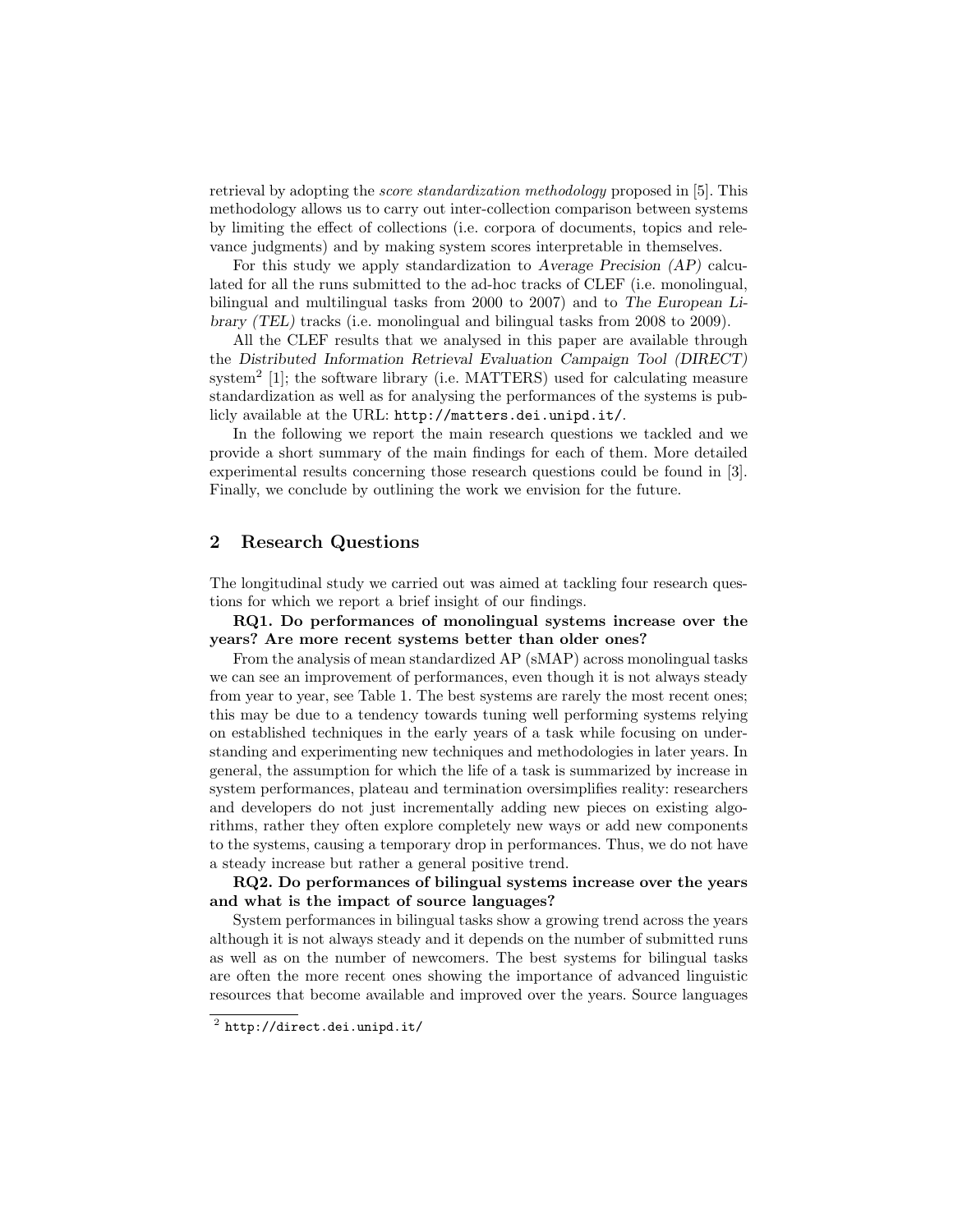retrieval by adopting the score standardization methodology proposed in [5]. This methodology allows us to carry out inter-collection comparison between systems by limiting the effect of collections (i.e. corpora of documents, topics and relevance judgments) and by making system scores interpretable in themselves.

For this study we apply standardization to Average Precision (AP) calculated for all the runs submitted to the ad-hoc tracks of CLEF (i.e. monolingual, bilingual and multilingual tasks from 2000 to 2007) and to The European Library (TEL) tracks (i.e. monolingual and bilingual tasks from 2008 to 2009).

All the CLEF results that we analysed in this paper are available through the Distributed Information Retrieval Evaluation Campaign Tool (DIRECT) system<sup>2</sup> [1]; the software library (i.e. MATTERS) used for calculating measure standardization as well as for analysing the performances of the systems is publicly available at the URL: http://matters.dei.unipd.it/.

In the following we report the main research questions we tackled and we provide a short summary of the main findings for each of them. More detailed experimental results concerning those research questions could be found in [3]. Finally, we conclude by outlining the work we envision for the future.

#### 2 Research Questions

The longitudinal study we carried out was aimed at tackling four research questions for which we report a brief insight of our findings.

RQ1. Do performances of monolingual systems increase over the years? Are more recent systems better than older ones?

From the analysis of mean standardized AP (sMAP) across monolingual tasks we can see an improvement of performances, even though it is not always steady from year to year, see Table 1. The best systems are rarely the most recent ones; this may be due to a tendency towards tuning well performing systems relying on established techniques in the early years of a task while focusing on understanding and experimenting new techniques and methodologies in later years. In general, the assumption for which the life of a task is summarized by increase in system performances, plateau and termination oversimplifies reality: researchers and developers do not just incrementally adding new pieces on existing algorithms, rather they often explore completely new ways or add new components to the systems, causing a temporary drop in performances. Thus, we do not have a steady increase but rather a general positive trend.

RQ2. Do performances of bilingual systems increase over the years and what is the impact of source languages?

System performances in bilingual tasks show a growing trend across the years although it is not always steady and it depends on the number of submitted runs as well as on the number of newcomers. The best systems for bilingual tasks are often the more recent ones showing the importance of advanced linguistic resources that become available and improved over the years. Source languages

 $^2$  http://direct.dei.unipd.it/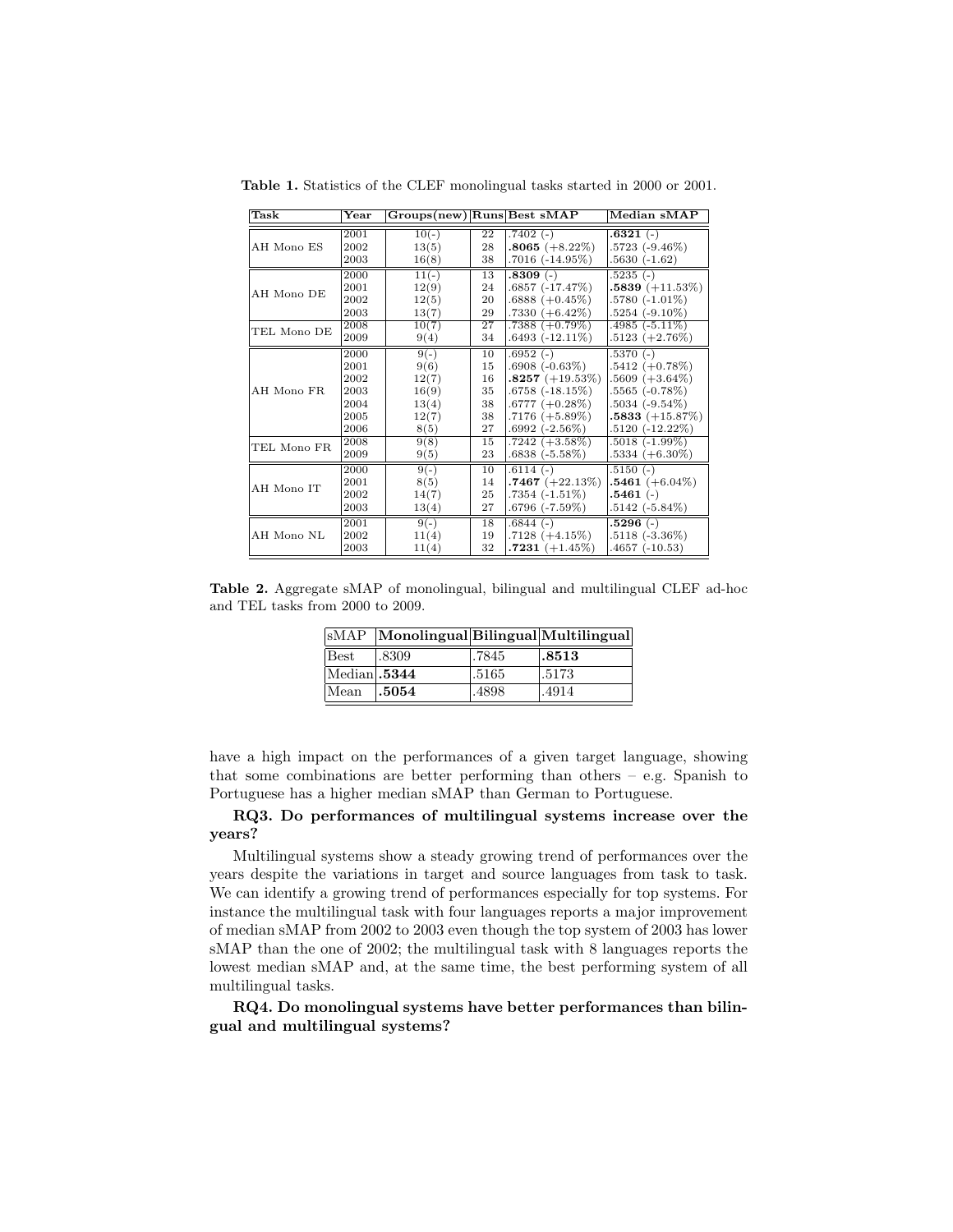| Task        | $\operatorname{Year}$ | $Groups(new)$ Runs Best $sMAP$ |    |                   | Median sMAP       |
|-------------|-----------------------|--------------------------------|----|-------------------|-------------------|
| AH Mono ES  | 2001                  | $10(-)$                        | 22 | $.7402(-)$        | .6321(.)          |
|             | 2002                  | 13(5)                          | 28 | $.8065 (+8.22\%)$ | $.5723(-9.46\%)$  |
|             | 2003                  | 16(8)                          | 38 | $.7016(-14.95\%)$ | $.5630(-1.62)$    |
| AH Mono DE  | 2000                  | $11(-)$                        | 13 | $.8309(-)$        | $.5235(-)$        |
|             | 2001                  | 12(9)                          | 24 | $.6857(-17.47%)$  | $.5839 (+11.53%)$ |
|             | 2002                  | 12(5)                          | 20 | $.6888 (+0.45\%)$ | $.5780(-1.01\%)$  |
|             | 2003                  | 13(7)                          | 29 | $.7330 (+6.42\%)$ | $.5254(-9.10\%)$  |
| TEL Mono DE | 2008                  | 10(7)                          | 27 | $.7388 (+0.79\%)$ | $.4985(-5.11\%)$  |
|             | 2009                  | 9(4)                           | 34 | $.6493(-12.11\%)$ | $.5123 (+2.76%)$  |
| AH Mono FR. | 2000                  | $9(-)$                         | 10 | $.6952(-)$        | $.5370(-)$        |
|             | 2001                  | 9(6)                           | 15 | $.6908(-0.63\%)$  | $.5412 (+0.78%)$  |
|             | 2002                  | 12(7)                          | 16 | $.8257 (+19.53%)$ | $.5609 (+3.64\%)$ |
|             | 2003                  | 16(9)                          | 35 | $.6758(-18.15%)$  | $.5565(-0.78\%)$  |
|             | 2004                  | 13(4)                          | 38 | $.6777 (+0.28%)$  | $.5034(-9.54\%)$  |
|             | 2005                  | 12(7)                          | 38 | $.7176 (+5.89\%)$ | $.5833 (+15.87%)$ |
|             | 2006                  | 8(5)                           | 27 | $.6992(-2.56%)$   | $.5120(-12.22\%)$ |

TEL Mono FR  $\begin{bmatrix} 2008 & 9(8) & 15 & 7242 & (+3.58\%) & .5018 & (-1.99\%)\ 2009 & 9(5) & 23 & .6838 & (-5.58\%) & .5334 & (+6.30\%)\ \end{bmatrix}$ 

 $\begin{array}{c|c|c|c|c} 2002 & 14(7) & 25 & 7354 & (-1.51\%) \hline 2003 & 13(4) & 27 & 6796 & (-7.59\%) \end{array}$ 

 $\begin{array}{|c|c|c|c|c|c|}\n\hline\n2002 & 11(4) & 19 & 7128 & (+4.15\%)\n\hline\n2003 & 11(4) & 32 & 7231 & (+1.45\%)\n\hline\n\end{array}$ 

 $\begin{array}{|c|c|c|c|c|c|}\hline 2000 & 9(\cdot) & 10 & 6114\; (\cdot) & 5150\; (\cdot) \\ 2001 & 8(5) & 14 & 7467\; (+22.13\%) & 5461\; (+6.04\%) \\ \hline \end{array}$ 2001 8(5) 14 .7467 (+22.13%) .5461 (+<br>2002 14(7) 25 .7354 (-1.51%) .5461 (-)

2003 |  $13(4)$  | 27  $.6796(-7.59\%)$   $.5142(-5.84\%)$ 

 $\begin{array}{|c|c|c|c|c|c|c|c|} \hline 2001 & 9(\cdot) & 18 & 6844\; (\cdot) & & & 5296\; (\cdot) \\ 2002 & 11(4) & 19 & .7128\; (+4.15\%) & .5118\; (+3.36\%) \\ 2003 & 11(4) & 32 & .7231\; (+1.45\%) & .4657\; (+0.53) \\ \hline \end{array}$ 

32  $\sqrt{7231 (+1.45\%)}$ 

AH Mono IT

AH Mono NL

 $\frac{5334 (+6.30\%)}{5150 (-)}$ 

Table 1. Statistics of the CLEF monolingual tasks started in 2000 or 2001.

Table 2. Aggregate sMAP of monolingual, bilingual and multilingual CLEF ad-hoc and TEL tasks from 2000 to 2009.

|              | $ \text{sMAP} $ Monolingual Bilingual Multilingual |       |        |
|--------------|----------------------------------------------------|-------|--------|
| Best         | .8309                                              | .7845 | 1.8513 |
| Median .5344 |                                                    | .5165 | .5173  |
| Mean         | .5054                                              | .4898 | .4914  |

have a high impact on the performances of a given target language, showing that some combinations are better performing than others – e.g. Spanish to Portuguese has a higher median sMAP than German to Portuguese.

## RQ3. Do performances of multilingual systems increase over the years?

Multilingual systems show a steady growing trend of performances over the years despite the variations in target and source languages from task to task. We can identify a growing trend of performances especially for top systems. For instance the multilingual task with four languages reports a major improvement of median sMAP from 2002 to 2003 even though the top system of 2003 has lower sMAP than the one of 2002; the multilingual task with 8 languages reports the lowest median sMAP and, at the same time, the best performing system of all multilingual tasks.

RQ4. Do monolingual systems have better performances than bilingual and multilingual systems?